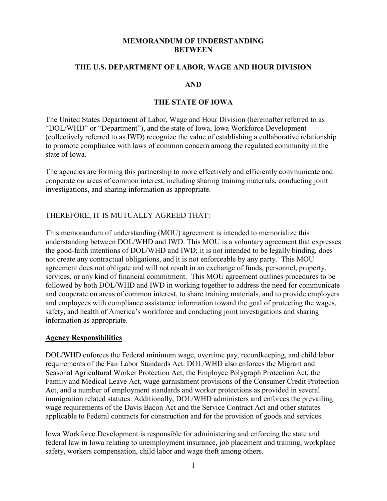#### **MEMORANDUM OF UNDERSTANDING BETWEEN**

#### **THE U.S. DEPARTMENT OF LABOR, WAGE AND HOUR DIVISION**

#### **AND**

#### **THE STATE OF IOWA**

The United States Department of Labor, Wage and Hour Division (hereinafter referred to as "DOL/WHD" or "Department"), and the state of Iowa, Iowa Workforce Development (collectively referred to as IWD) recognize the value of establishing a collaborative relationship to promote compliance with laws of common concern among the regulated community in the state of Iowa.

The agencies are forming this partnership to more effectively and efficiently communicate and cooperate on areas of common interest, including sharing training materials, conducting joint investigations, and sharing information as appropriate.

### THEREFORE, IT IS MUTUALLY AGREED THAT:

This memorandum of understanding (MOU) agreement is intended to memorialize this understanding between DOL/WHD and IWD. This MOU is a voluntary agreement that expresses the good-faith intentions of DOL/WHD and IWD; it is not intended to be legally binding, does not create any contractual obligations, and it is not enforceable by any party. This MOU agreement does not obligate and will not result in an exchange of funds, personnel, property, services, or any kind of financial commitment. This MOU agreement outlines procedures to be followed by both DOL/WHD and IWD in working together to address the need for communicate and cooperate on areas of common interest, to share training materials, and to provide employers and employees with compliance assistance information toward the goal of protecting the wages, safety, and health of America's workforce and conducting joint investigations and sharing information as appropriate.

#### **Agency Responsibilities**

DOL/WHD enforces the Federal minimum wage, overtime pay, recordkeeping, and child labor requirements of the Fair Labor Standards Act. DOL/WHD also enforces the Migrant and Seasonal Agricultural Worker Protection Act, the Employee Polygraph Protection Act, the Family and Medical Leave Act, wage garnishment provisions of the Consumer Credit Protection Act, and a number of employment standards and worker protections as provided in several immigration related statutes. Additionally, DOL/WHD administers and enforces the prevailing wage requirements of the Davis Bacon Act and the Service Contract Act and other statutes applicable to Federal contracts for construction and for the provision of goods and services.

Iowa Workforce Development is responsible for administering and enforcing the state and federal law in Iowa relating to unemployment insurance, job placement and training, workplace safety, workers compensation, child labor and wage theft among others.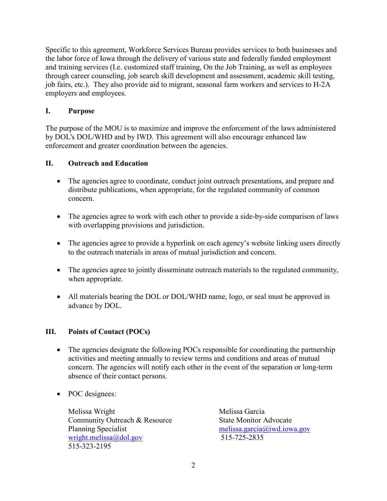Specific to this agreement, Workforce Services Bureau provides services to both businesses and the labor force of Iowa through the delivery of various state and federally funded employment and training services (I.e. customized staff training, On the Job Training, as well as employees through career counseling, job search skill development and assessment, academic skill testing, job fairs, etc.). They also provide aid to migrant, seasonal farm workers and services to H-2A employers and employees.

## **I. Purpose**

The purpose of the MOU is to maximize and improve the enforcement of the laws administered by DOL's DOL/WHD and by IWD. This agreement will also encourage enhanced law enforcement and greater coordination between the agencies.

# **II. Outreach and Education**

- The agencies agree to coordinate, conduct joint outreach presentations, and prepare and distribute publications, when appropriate, for the regulated community of common concern.
- The agencies agree to work with each other to provide a side-by-side comparison of laws with overlapping provisions and jurisdiction.
- The agencies agree to provide a hyperlink on each agency's website linking users directly to the outreach materials in areas of mutual jurisdiction and concern.
- The agencies agree to jointly disseminate outreach materials to the regulated community, when appropriate.
- All materials bearing the DOL or DOL/WHD name, logo, or seal must be approved in advance by DOL.

## **III. Points of Contact (POCs)**

- The agencies designate the following POCs responsible for coordinating the partnership activities and meeting annually to review terms and conditions and areas of mutual concern. The agencies will notify each other in the event of the separation or long-term absence of their contact persons.
- POC designees:

Melissa Wright Community Outreach & Resource Planning Specialist [wright.melissa@dol.gov](mailto:wright.melissa@dol.gov) 515-323-2195

Melissa Garcia State Monitor Advocate [melissa.garcia@iwd.iowa.gov](mailto:melissa.garcia@iwd.iowa.gov) 515-725-2835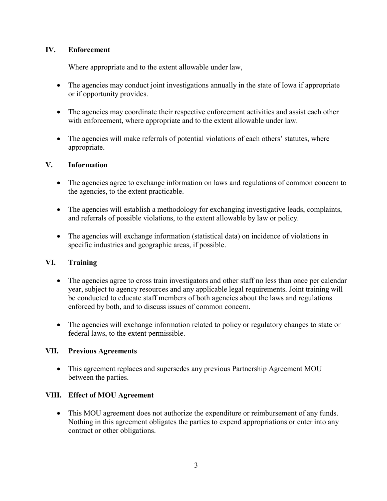## **IV. Enforcement**

Where appropriate and to the extent allowable under law,

- The agencies may conduct joint investigations annually in the state of Iowa if appropriate or if opportunity provides.
- The agencies may coordinate their respective enforcement activities and assist each other with enforcement, where appropriate and to the extent allowable under law.
- The agencies will make referrals of potential violations of each others' statutes, where appropriate.

## **V. Information**

- The agencies agree to exchange information on laws and regulations of common concern to the agencies, to the extent practicable.
- The agencies will establish a methodology for exchanging investigative leads, complaints, and referrals of possible violations, to the extent allowable by law or policy.
- The agencies will exchange information (statistical data) on incidence of violations in specific industries and geographic areas, if possible.

## **VI. Training**

- The agencies agree to cross train investigators and other staff no less than once per calendar year, subject to agency resources and any applicable legal requirements. Joint training will be conducted to educate staff members of both agencies about the laws and regulations enforced by both, and to discuss issues of common concern.
- The agencies will exchange information related to policy or regulatory changes to state or federal laws, to the extent permissible.

### **VII. Previous Agreements**

• This agreement replaces and supersedes any previous Partnership Agreement MOU between the parties.

## **VIII. Effect of MOU Agreement**

• This MOU agreement does not authorize the expenditure or reimbursement of any funds. Nothing in this agreement obligates the parties to expend appropriations or enter into any contract or other obligations.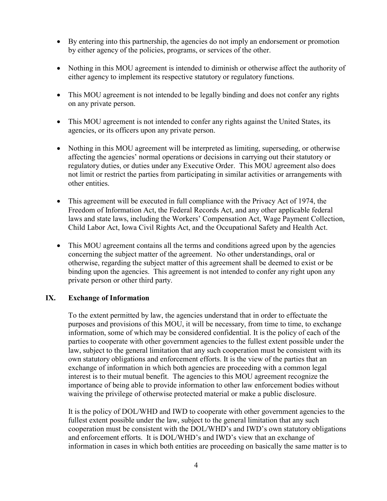- By entering into this partnership, the agencies do not imply an endorsement or promotion by either agency of the policies, programs, or services of the other.
- Nothing in this MOU agreement is intended to diminish or otherwise affect the authority of either agency to implement its respective statutory or regulatory functions.
- This MOU agreement is not intended to be legally binding and does not confer any rights on any private person.
- This MOU agreement is not intended to confer any rights against the United States, its agencies, or its officers upon any private person.
- Nothing in this MOU agreement will be interpreted as limiting, superseding, or otherwise affecting the agencies' normal operations or decisions in carrying out their statutory or regulatory duties, or duties under any Executive Order. This MOU agreement also does not limit or restrict the parties from participating in similar activities or arrangements with other entities.
- This agreement will be executed in full compliance with the Privacy Act of 1974, the Freedom of Information Act, the Federal Records Act, and any other applicable federal laws and state laws, including the Workers' Compensation Act, Wage Payment Collection, Child Labor Act, Iowa Civil Rights Act, and the Occupational Safety and Health Act.
- This MOU agreement contains all the terms and conditions agreed upon by the agencies concerning the subject matter of the agreement. No other understandings, oral or otherwise, regarding the subject matter of this agreement shall be deemed to exist or be binding upon the agencies. This agreement is not intended to confer any right upon any private person or other third party.

### **IX. Exchange of Information**

To the extent permitted by law, the agencies understand that in order to effectuate the purposes and provisions of this MOU, it will be necessary, from time to time, to exchange information, some of which may be considered confidential. It is the policy of each of the parties to cooperate with other government agencies to the fullest extent possible under the law, subject to the general limitation that any such cooperation must be consistent with its own statutory obligations and enforcement efforts. It is the view of the parties that an exchange of information in which both agencies are proceeding with a common legal interest is to their mutual benefit. The agencies to this MOU agreement recognize the importance of being able to provide information to other law enforcement bodies without waiving the privilege of otherwise protected material or make a public disclosure.

It is the policy of DOL/WHD and IWD to cooperate with other government agencies to the fullest extent possible under the law, subject to the general limitation that any such cooperation must be consistent with the DOL/WHD's and IWD's own statutory obligations and enforcement efforts. It is DOL/WHD's and IWD's view that an exchange of information in cases in which both entities are proceeding on basically the same matter is to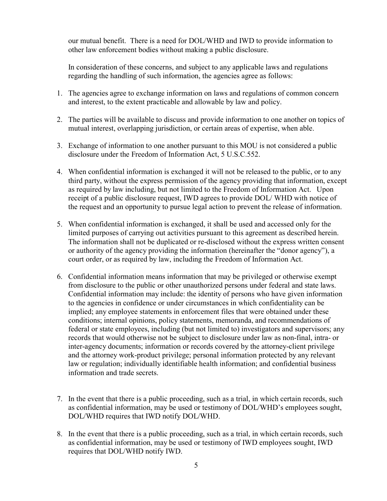our mutual benefit. There is a need for DOL/WHD and IWD to provide information to other law enforcement bodies without making a public disclosure.

In consideration of these concerns, and subject to any applicable laws and regulations regarding the handling of such information, the agencies agree as follows:

- 1. The agencies agree to exchange information on laws and regulations of common concern and interest, to the extent practicable and allowable by law and policy.
- 2. The parties will be available to discuss and provide information to one another on topics of mutual interest, overlapping jurisdiction, or certain areas of expertise, when able.
- 3. Exchange of information to one another pursuant to this MOU is not considered a public disclosure under the Freedom of Information Act, 5 U.S.C.552.
- 4. When confidential information is exchanged it will not be released to the public, or to any third party, without the express permission of the agency providing that information, except as required by law including, but not limited to the Freedom of Information Act. Upon receipt of a public disclosure request, IWD agrees to provide DOL/ WHD with notice of the request and an opportunity to pursue legal action to prevent the release of information.
- 5. When confidential information is exchanged, it shall be used and accessed only for the limited purposes of carrying out activities pursuant to this agreement as described herein. The information shall not be duplicated or re-disclosed without the express written consent or authority of the agency providing the information (hereinafter the "donor agency"), a court order, or as required by law, including the Freedom of Information Act.
- 6. Confidential information means information that may be privileged or otherwise exempt from disclosure to the public or other unauthorized persons under federal and state laws. Confidential information may include: the identity of persons who have given information to the agencies in confidence or under circumstances in which confidentiality can be implied; any employee statements in enforcement files that were obtained under these conditions; internal opinions, policy statements, memoranda, and recommendations of federal or state employees, including (but not limited to) investigators and supervisors; any records that would otherwise not be subject to disclosure under law as non-final, intra- or inter-agency documents; information or records covered by the attorney-client privilege and the attorney work-product privilege; personal information protected by any relevant law or regulation; individually identifiable health information; and confidential business information and trade secrets.
- 7. In the event that there is a public proceeding, such as a trial, in which certain records, such as confidential information, may be used or testimony of DOL/WHD's employees sought, DOL/WHD requires that IWD notify DOL/WHD.
- 8. In the event that there is a public proceeding, such as a trial, in which certain records, such as confidential information, may be used or testimony of IWD employees sought, IWD requires that DOL/WHD notify IWD.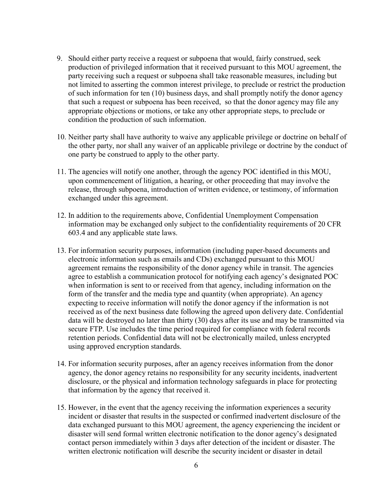- 9. Should either party receive a request or subpoena that would, fairly construed, seek production of privileged information that it received pursuant to this MOU agreement, the party receiving such a request or subpoena shall take reasonable measures, including but not limited to asserting the common interest privilege, to preclude or restrict the production of such information for ten (10) business days, and shall promptly notify the donor agency that such a request or subpoena has been received, so that the donor agency may file any appropriate objections or motions, or take any other appropriate steps, to preclude or condition the production of such information.
- 10. Neither party shall have authority to waive any applicable privilege or doctrine on behalf of the other party, nor shall any waiver of an applicable privilege or doctrine by the conduct of one party be construed to apply to the other party.
- 11. The agencies will notify one another, through the agency POC identified in this MOU, upon commencement of litigation, a hearing, or other proceeding that may involve the release, through subpoena, introduction of written evidence, or testimony, of information exchanged under this agreement.
- 12. In addition to the requirements above, Confidential Unemployment Compensation information may be exchanged only subject to the confidentiality requirements of 20 CFR 603.4 and any applicable state laws.
- 13. For information security purposes, information (including paper-based documents and electronic information such as emails and CDs) exchanged pursuant to this MOU agreement remains the responsibility of the donor agency while in transit. The agencies agree to establish a communication protocol for notifying each agency's designated POC when information is sent to or received from that agency, including information on the form of the transfer and the media type and quantity (when appropriate). An agency expecting to receive information will notify the donor agency if the information is not received as of the next business date following the agreed upon delivery date. Confidential data will be destroyed no later than thirty (30) days after its use and may be transmitted via secure FTP. Use includes the time period required for compliance with federal records retention periods. Confidential data will not be electronically mailed, unless encrypted using approved encryption standards.
- 14. For information security purposes, after an agency receives information from the donor agency, the donor agency retains no responsibility for any security incidents, inadvertent disclosure, or the physical and information technology safeguards in place for protecting that information by the agency that received it.
- 15. However, in the event that the agency receiving the information experiences a security incident or disaster that results in the suspected or confirmed inadvertent disclosure of the data exchanged pursuant to this MOU agreement, the agency experiencing the incident or disaster will send formal written electronic notification to the donor agency's designated contact person immediately within 3 days after detection of the incident or disaster. The written electronic notification will describe the security incident or disaster in detail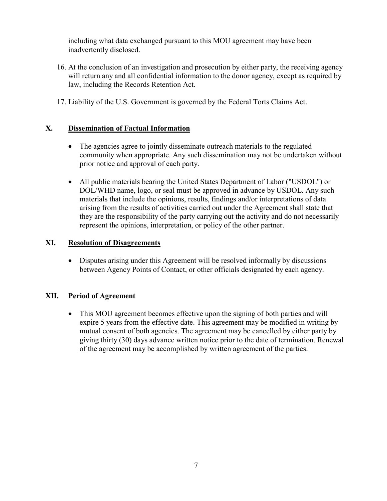including what data exchanged pursuant to this MOU agreement may have been inadvertently disclosed.

- 16. At the conclusion of an investigation and prosecution by either party, the receiving agency will return any and all confidential information to the donor agency, except as required by law, including the Records Retention Act.
- 17. Liability of the U.S. Government is governed by the Federal Torts Claims Act.

# **X. Dissemination of Factual Information**

- The agencies agree to jointly disseminate outreach materials to the regulated community when appropriate. Any such dissemination may not be undertaken without prior notice and approval of each party.
- All public materials bearing the United States Department of Labor ("USDOL") or DOL/WHD name, logo, or seal must be approved in advance by USDOL. Any such materials that include the opinions, results, findings and/or interpretations of data arising from the results of activities carried out under the Agreement shall state that they are the responsibility of the party carrying out the activity and do not necessarily represent the opinions, interpretation, or policy of the other partner.

## **XI. Resolution of Disagreements**

• Disputes arising under this Agreement will be resolved informally by discussions between Agency Points of Contact, or other officials designated by each agency.

### **XII. Period of Agreement**

• This MOU agreement becomes effective upon the signing of both parties and will expire 5 years from the effective date. This agreement may be modified in writing by mutual consent of both agencies. The agreement may be cancelled by either party by giving thirty (30) days advance written notice prior to the date of termination. Renewal of the agreement may be accomplished by written agreement of the parties.